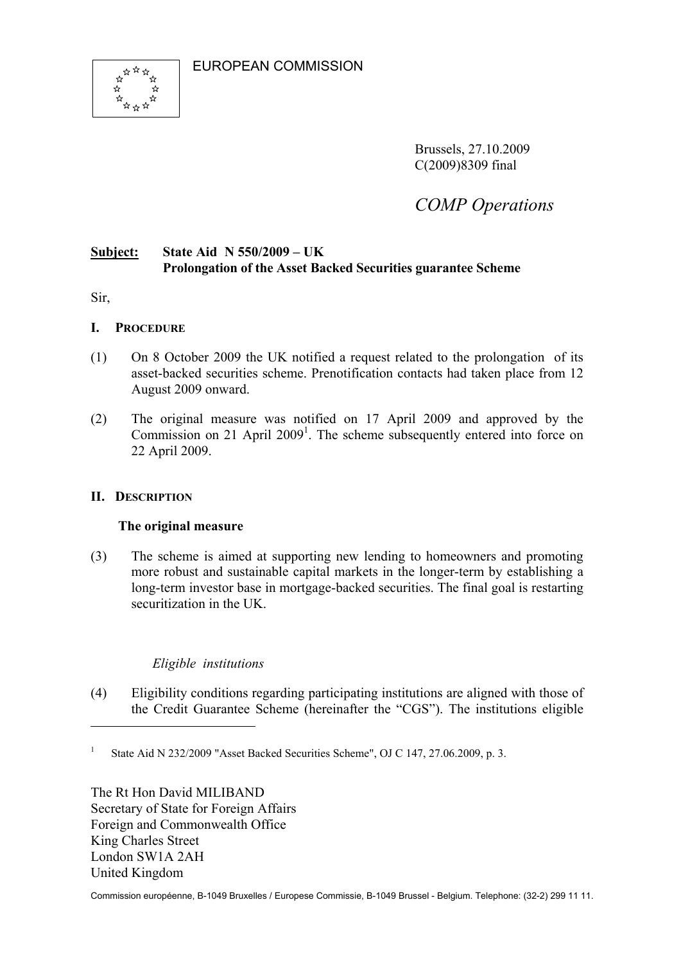

Brussels, 27.10.2009 C(2009)8309 final

*COMP Operations*

## **Subject: State Aid N 550/2009 – UK Prolongation of the Asset Backed Securities guarantee Scheme**

Sir,

 $\overline{a}$ 

### **I. PROCEDURE**

- (1) On 8 October 2009 the UK notified a request related to the prolongation of its asset-backed securities scheme. Prenotification contacts had taken place from 12 August 2009 onward.
- (2) The original measure was notified on 17 April 2009 and approved by the Commission on 21 April 2009<sup>1</sup>. The scheme subsequently entered into force on 22 April 2009.

## **II. DESCRIPTION**

### **The original measure**

(3) The scheme is aimed at supporting new lending to homeowners and promoting more robust and sustainable capital markets in the longer-term by establishing a long-term investor base in mortgage-backed securities. The final goal is restarting securitization in the UK.

## *Eligible institutions*

(4) Eligibility conditions regarding participating institutions are aligned with those of the Credit Guarantee Scheme (hereinafter the "CGS"). The institutions eligible

The Rt Hon David MILIBAND Secretary of State for Foreign Affairs Foreign and Commonwealth Office King Charles Street London SW1A 2AH United Kingdom

Commission européenne, B-1049 Bruxelles / Europese Commissie, B-1049 Brussel - Belgium. Telephone: (32-2) 299 11 11.

<sup>1</sup> State Aid N 232/2009 "Asset Backed Securities Scheme", OJ C 147, 27.06.2009, p. 3.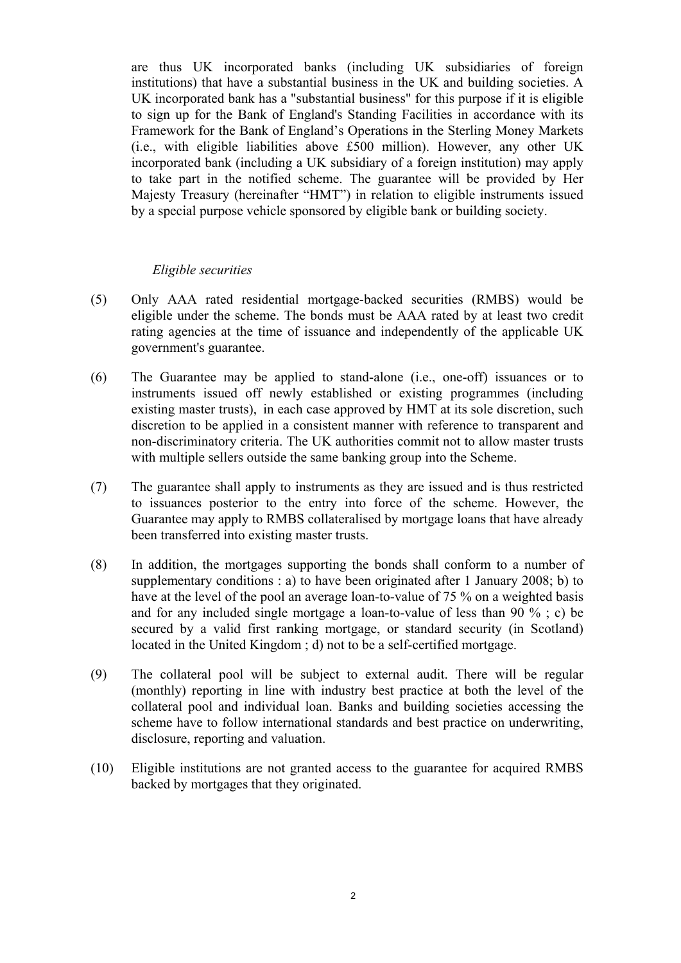are thus UK incorporated banks (including UK subsidiaries of foreign institutions) that have a substantial business in the UK and building societies. A UK incorporated bank has a "substantial business" for this purpose if it is eligible to sign up for the Bank of England's Standing Facilities in accordance with its Framework for the Bank of England's Operations in the Sterling Money Markets (i.e., with eligible liabilities above £500 million). However, any other UK incorporated bank (including a UK subsidiary of a foreign institution) may apply to take part in the notified scheme. The guarantee will be provided by Her Majesty Treasury (hereinafter "HMT") in relation to eligible instruments issued by a special purpose vehicle sponsored by eligible bank or building society.

#### *Eligible securities*

- (5) Only AAA rated residential mortgage-backed securities (RMBS) would be eligible under the scheme. The bonds must be AAA rated by at least two credit rating agencies at the time of issuance and independently of the applicable UK government's guarantee.
- (6) The Guarantee may be applied to stand-alone (i.e., one-off) issuances or to instruments issued off newly established or existing programmes (including existing master trusts), in each case approved by HMT at its sole discretion, such discretion to be applied in a consistent manner with reference to transparent and non-discriminatory criteria. The UK authorities commit not to allow master trusts with multiple sellers outside the same banking group into the Scheme.
- (7) The guarantee shall apply to instruments as they are issued and is thus restricted to issuances posterior to the entry into force of the scheme. However, the Guarantee may apply to RMBS collateralised by mortgage loans that have already been transferred into existing master trusts.
- (8) In addition, the mortgages supporting the bonds shall conform to a number of supplementary conditions : a) to have been originated after 1 January 2008; b) to have at the level of the pool an average loan-to-value of 75 % on a weighted basis and for any included single mortgage a loan-to-value of less than 90 % ; c) be secured by a valid first ranking mortgage, or standard security (in Scotland) located in the United Kingdom ; d) not to be a self-certified mortgage.
- (9) The collateral pool will be subject to external audit. There will be regular (monthly) reporting in line with industry best practice at both the level of the collateral pool and individual loan. Banks and building societies accessing the scheme have to follow international standards and best practice on underwriting, disclosure, reporting and valuation.
- (10) Eligible institutions are not granted access to the guarantee for acquired RMBS backed by mortgages that they originated.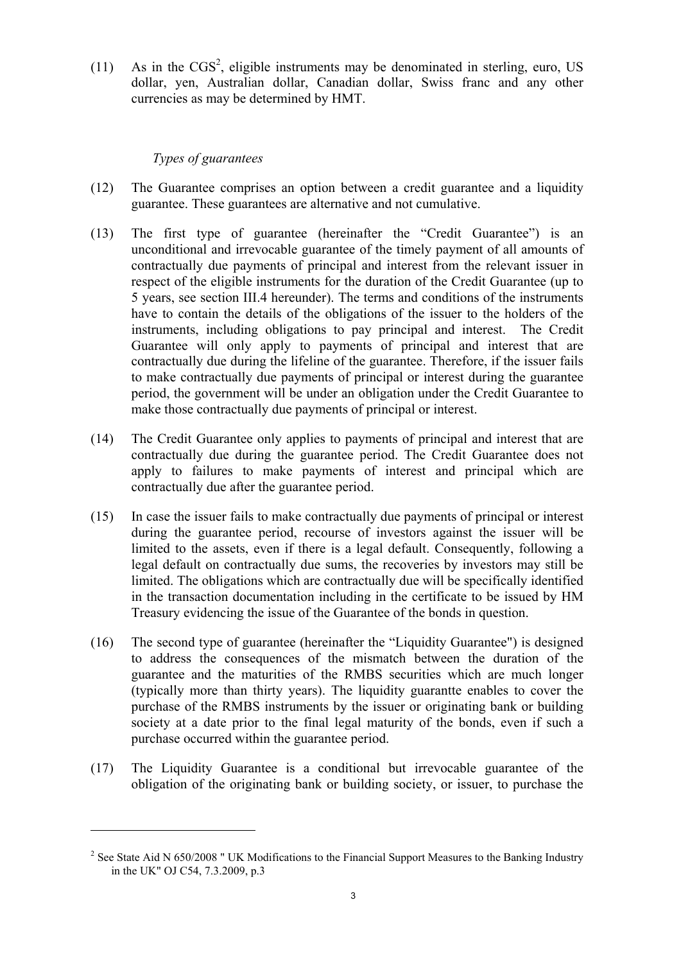$(11)$  As in the CGS<sup>2</sup>, eligible instruments may be denominated in sterling, euro, US dollar, yen, Australian dollar, Canadian dollar, Swiss franc and any other currencies as may be determined by HMT.

### *Types of guarantees*

- (12) The Guarantee comprises an option between a credit guarantee and a liquidity guarantee. These guarantees are alternative and not cumulative.
- (13) The first type of guarantee (hereinafter the "Credit Guarantee") is an unconditional and irrevocable guarantee of the timely payment of all amounts of contractually due payments of principal and interest from the relevant issuer in respect of the eligible instruments for the duration of the Credit Guarantee (up to 5 years, see section III.4 hereunder). The terms and conditions of the instruments have to contain the details of the obligations of the issuer to the holders of the instruments, including obligations to pay principal and interest. The Credit Guarantee will only apply to payments of principal and interest that are contractually due during the lifeline of the guarantee. Therefore, if the issuer fails to make contractually due payments of principal or interest during the guarantee period, the government will be under an obligation under the Credit Guarantee to make those contractually due payments of principal or interest.
- (14) The Credit Guarantee only applies to payments of principal and interest that are contractually due during the guarantee period. The Credit Guarantee does not apply to failures to make payments of interest and principal which are contractually due after the guarantee period.
- (15) In case the issuer fails to make contractually due payments of principal or interest during the guarantee period, recourse of investors against the issuer will be limited to the assets, even if there is a legal default. Consequently, following a legal default on contractually due sums, the recoveries by investors may still be limited. The obligations which are contractually due will be specifically identified in the transaction documentation including in the certificate to be issued by HM Treasury evidencing the issue of the Guarantee of the bonds in question.
- (16) The second type of guarantee (hereinafter the "Liquidity Guarantee") is designed to address the consequences of the mismatch between the duration of the guarantee and the maturities of the RMBS securities which are much longer (typically more than thirty years). The liquidity guarantte enables to cover the purchase of the RMBS instruments by the issuer or originating bank or building society at a date prior to the final legal maturity of the bonds, even if such a purchase occurred within the guarantee period.
- (17) The Liquidity Guarantee is a conditional but irrevocable guarantee of the obligation of the originating bank or building society, or issuer, to purchase the

<sup>&</sup>lt;sup>2</sup> See State Aid N 650/2008 " UK Modifications to the Financial Support Measures to the Banking Industry in the UK" OJ C54, 7.3.2009, p.3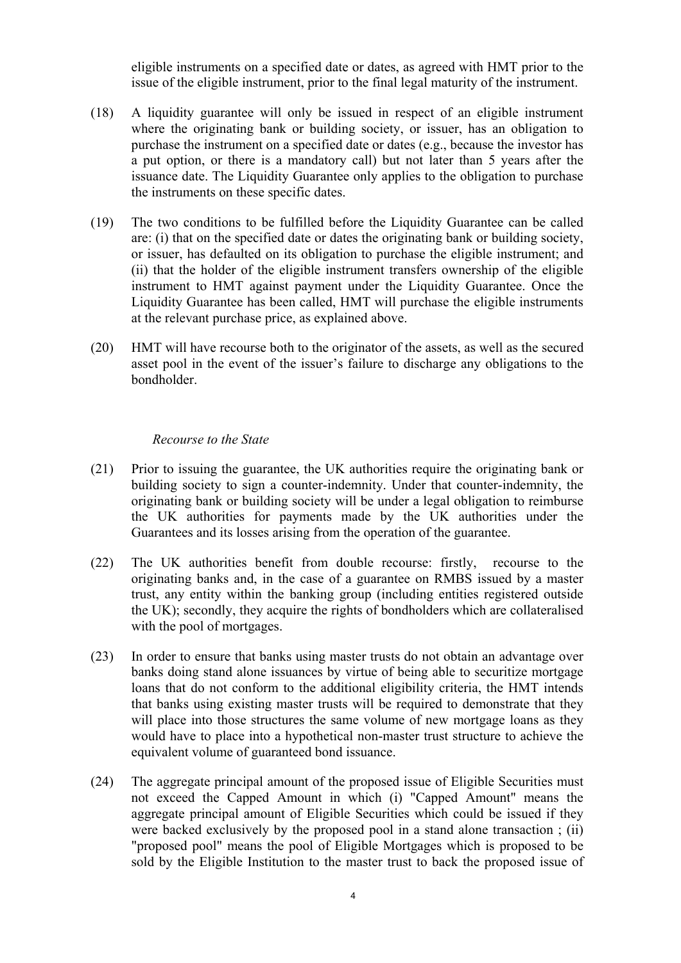eligible instruments on a specified date or dates, as agreed with HMT prior to the issue of the eligible instrument, prior to the final legal maturity of the instrument.

- (18) A liquidity guarantee will only be issued in respect of an eligible instrument where the originating bank or building society, or issuer, has an obligation to purchase the instrument on a specified date or dates (e.g., because the investor has a put option, or there is a mandatory call) but not later than 5 years after the issuance date. The Liquidity Guarantee only applies to the obligation to purchase the instruments on these specific dates.
- (19) The two conditions to be fulfilled before the Liquidity Guarantee can be called are: (i) that on the specified date or dates the originating bank or building society, or issuer, has defaulted on its obligation to purchase the eligible instrument; and (ii) that the holder of the eligible instrument transfers ownership of the eligible instrument to HMT against payment under the Liquidity Guarantee. Once the Liquidity Guarantee has been called, HMT will purchase the eligible instruments at the relevant purchase price, as explained above.
- (20) HMT will have recourse both to the originator of the assets, as well as the secured asset pool in the event of the issuer's failure to discharge any obligations to the bondholder.

#### *Recourse to the State*

- (21) Prior to issuing the guarantee, the UK authorities require the originating bank or building society to sign a counter-indemnity. Under that counter-indemnity, the originating bank or building society will be under a legal obligation to reimburse the UK authorities for payments made by the UK authorities under the Guarantees and its losses arising from the operation of the guarantee.
- (22) The UK authorities benefit from double recourse: firstly, recourse to the originating banks and, in the case of a guarantee on RMBS issued by a master trust, any entity within the banking group (including entities registered outside the UK); secondly, they acquire the rights of bondholders which are collateralised with the pool of mortgages.
- (23) In order to ensure that banks using master trusts do not obtain an advantage over banks doing stand alone issuances by virtue of being able to securitize mortgage loans that do not conform to the additional eligibility criteria, the HMT intends that banks using existing master trusts will be required to demonstrate that they will place into those structures the same volume of new mortgage loans as they would have to place into a hypothetical non-master trust structure to achieve the equivalent volume of guaranteed bond issuance.
- (24) The aggregate principal amount of the proposed issue of Eligible Securities must not exceed the Capped Amount in which (i) "Capped Amount" means the aggregate principal amount of Eligible Securities which could be issued if they were backed exclusively by the proposed pool in a stand alone transaction ; (ii) "proposed pool" means the pool of Eligible Mortgages which is proposed to be sold by the Eligible Institution to the master trust to back the proposed issue of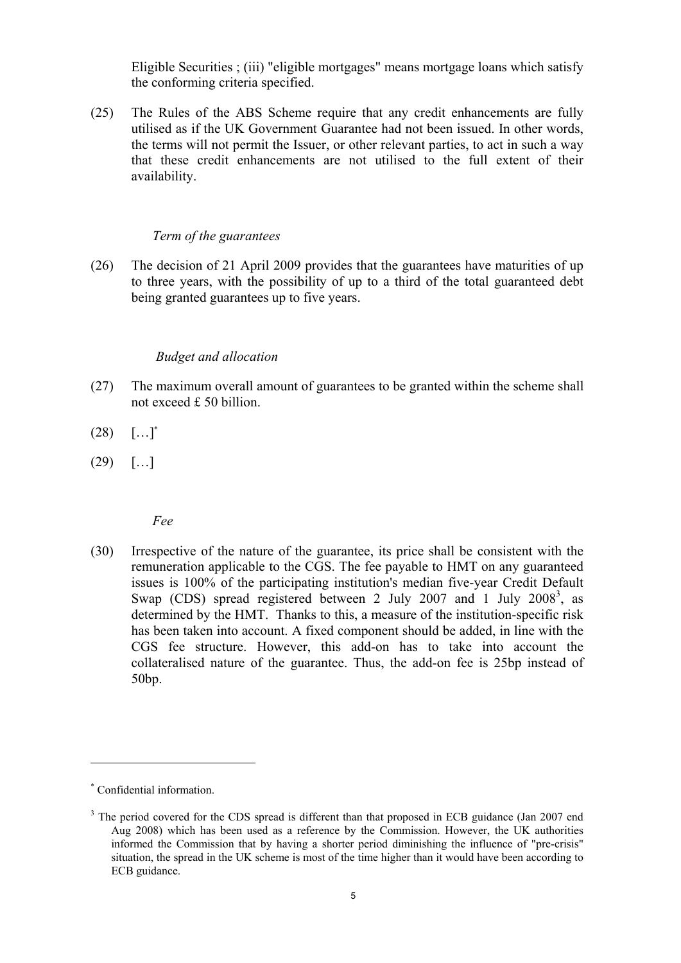Eligible Securities ; (iii) "eligible mortgages" means mortgage loans which satisfy the conforming criteria specified.

(25) The Rules of the ABS Scheme require that any credit enhancements are fully utilised as if the UK Government Guarantee had not been issued. In other words, the terms will not permit the Issuer, or other relevant parties, to act in such a way that these credit enhancements are not utilised to the full extent of their availability.

### *Term of the guarantees*

(26) The decision of 21 April 2009 provides that the guarantees have maturities of up to three years, with the possibility of up to a third of the total guaranteed debt being granted guarantees up to five years.

#### *Budget and allocation*

- (27) The maximum overall amount of guarantees to be granted within the scheme shall not exceed £ 50 billion.
- $(28)$   $[...]^*$
- $(29)$   $[...]$ 
	- *Fee*
- (30) Irrespective of the nature of the guarantee, its price shall be consistent with the remuneration applicable to the CGS. The fee payable to HMT on any guaranteed issues is 100% of the participating institution's median five-year Credit Default Swap (CDS) spread registered between 2 July 2007 and 1 July 2008<sup>3</sup>, as determined by the HMT. Thanks to this, a measure of the institution-specific risk has been taken into account. A fixed component should be added, in line with the CGS fee structure. However, this add-on has to take into account the collateralised nature of the guarantee. Thus, the add-on fee is 25bp instead of 50bp.

<sup>\*</sup> Confidential information.

<sup>&</sup>lt;sup>3</sup> The period covered for the CDS spread is different than that proposed in ECB guidance (Jan 2007 end Aug 2008) which has been used as a reference by the Commission. However, the UK authorities informed the Commission that by having a shorter period diminishing the influence of "pre-crisis" situation, the spread in the UK scheme is most of the time higher than it would have been according to ECB guidance.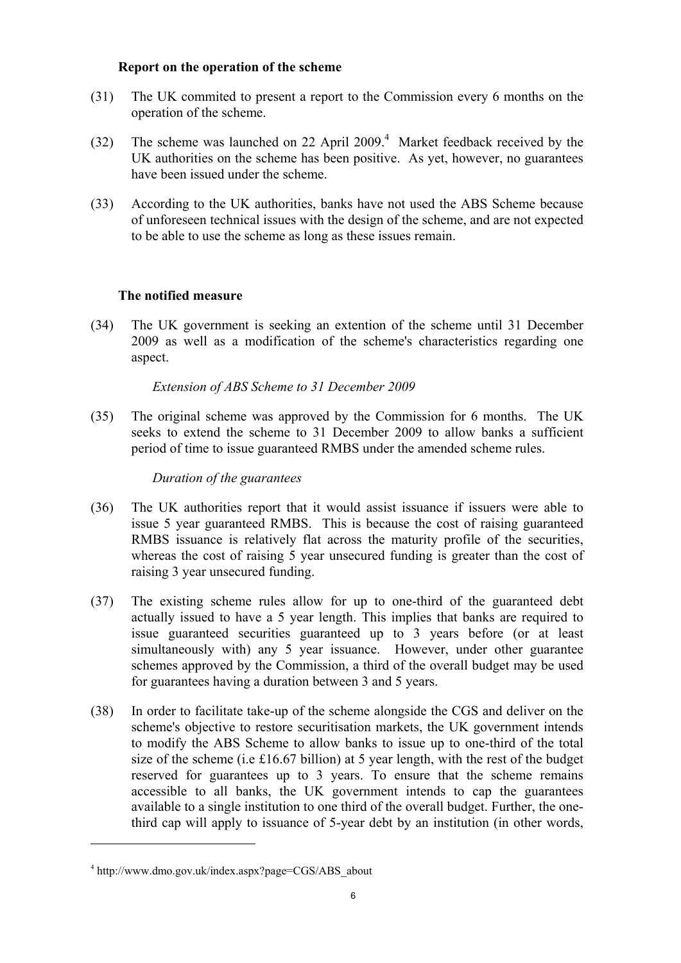### **Report on the operation of the scheme**

- (31) The UK commited to present a report to the Commission every 6 months on the operation of the scheme.
- (32) The scheme was launched on 22 April 2009. $4$  Market feedback received by the UK authorities on the scheme has been positive. As yet, however, no guarantees have been issued under the scheme.
- (33) According to the UK authorities, banks have not used the ABS Scheme because of unforeseen technical issues with the design of the scheme, and are not expected to be able to use the scheme as long as these issues remain.

## **The notified measure**

(34) The UK government is seeking an extention of the scheme until 31 December 2009 as well as a modification of the scheme's characteristics regarding one aspect.

## *Extension of ABS Scheme to 31 December 2009*

(35) The original scheme was approved by the Commission for 6 months. The UK seeks to extend the scheme to 31 December 2009 to allow banks a sufficient period of time to issue guaranteed RMBS under the amended scheme rules.

## *Duration of the guarantees*

- (36) The UK authorities report that it would assist issuance if issuers were able to issue 5 year guaranteed RMBS. This is because the cost of raising guaranteed RMBS issuance is relatively flat across the maturity profile of the securities, whereas the cost of raising 5 year unsecured funding is greater than the cost of raising 3 year unsecured funding.
- (37) The existing scheme rules allow for up to one-third of the guaranteed debt actually issued to have a 5 year length. This implies that banks are required to issue guaranteed securities guaranteed up to 3 years before (or at least simultaneously with) any 5 year issuance. However, under other guarantee schemes approved by the Commission, a third of the overall budget may be used for guarantees having a duration between 3 and 5 years.
- (38) In order to facilitate take-up of the scheme alongside the CGS and deliver on the scheme's objective to restore securitisation markets, the UK government intends to modify the ABS Scheme to allow banks to issue up to one-third of the total size of the scheme (i.e £16.67 billion) at 5 year length, with the rest of the budget reserved for guarantees up to 3 years. To ensure that the scheme remains accessible to all banks, the UK government intends to cap the guarantees available to a single institution to one third of the overall budget. Further, the onethird cap will apply to issuance of 5-year debt by an institution (in other words,

<sup>4</sup> http://www.dmo.gov.uk/index.aspx?page=CGS/ABS\_about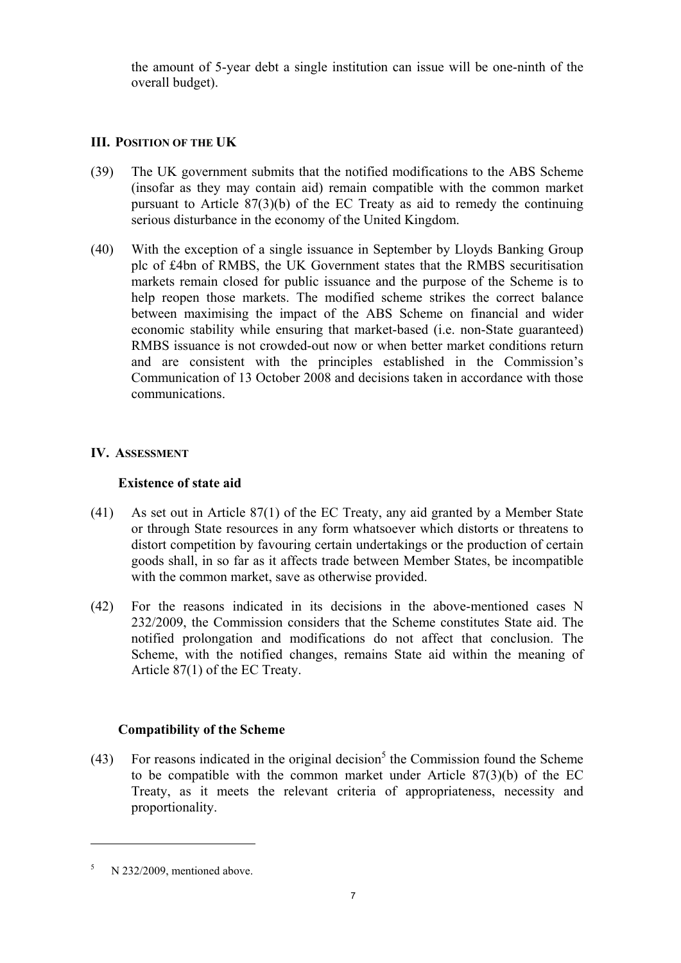the amount of 5-year debt a single institution can issue will be one-ninth of the overall budget).

# **III. POSITION OF THE UK**

- (39) The UK government submits that the notified modifications to the ABS Scheme (insofar as they may contain aid) remain compatible with the common market pursuant to Article 87(3)(b) of the EC Treaty as aid to remedy the continuing serious disturbance in the economy of the United Kingdom.
- (40) With the exception of a single issuance in September by Lloyds Banking Group plc of £4bn of RMBS, the UK Government states that the RMBS securitisation markets remain closed for public issuance and the purpose of the Scheme is to help reopen those markets. The modified scheme strikes the correct balance between maximising the impact of the ABS Scheme on financial and wider economic stability while ensuring that market-based (i.e. non-State guaranteed) RMBS issuance is not crowded-out now or when better market conditions return and are consistent with the principles established in the Commission's Communication of 13 October 2008 and decisions taken in accordance with those communications.

## **IV. ASSESSMENT**

## **Existence of state aid**

- (41) As set out in Article 87(1) of the EC Treaty, any aid granted by a Member State or through State resources in any form whatsoever which distorts or threatens to distort competition by favouring certain undertakings or the production of certain goods shall, in so far as it affects trade between Member States, be incompatible with the common market, save as otherwise provided.
- (42) For the reasons indicated in its decisions in the above-mentioned cases N 232/2009, the Commission considers that the Scheme constitutes State aid. The notified prolongation and modifications do not affect that conclusion. The Scheme, with the notified changes, remains State aid within the meaning of Article 87(1) of the EC Treaty.

## **Compatibility of the Scheme**

(43) For reasons indicated in the original decision<sup>5</sup> the Commission found the Scheme to be compatible with the common market under Article 87(3)(b) of the EC Treaty, as it meets the relevant criteria of appropriateness, necessity and proportionality.

<sup>5</sup> N 232/2009, mentioned above.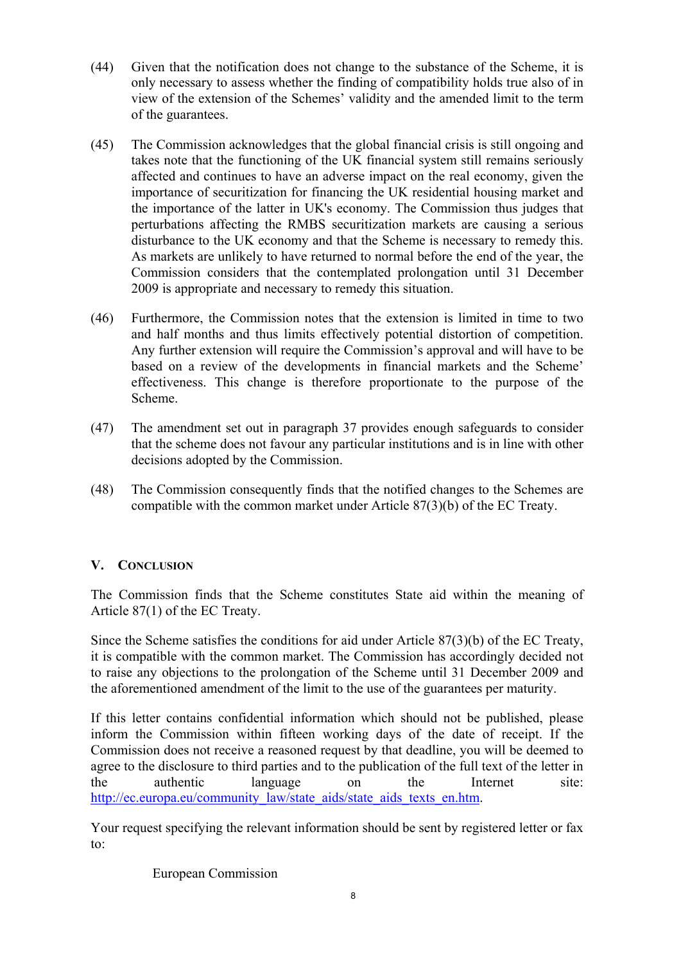- (44) Given that the notification does not change to the substance of the Scheme, it is only necessary to assess whether the finding of compatibility holds true also of in view of the extension of the Schemes' validity and the amended limit to the term of the guarantees.
- (45) The Commission acknowledges that the global financial crisis is still ongoing and takes note that the functioning of the UK financial system still remains seriously affected and continues to have an adverse impact on the real economy, given the importance of securitization for financing the UK residential housing market and the importance of the latter in UK's economy. The Commission thus judges that perturbations affecting the RMBS securitization markets are causing a serious disturbance to the UK economy and that the Scheme is necessary to remedy this. As markets are unlikely to have returned to normal before the end of the year, the Commission considers that the contemplated prolongation until 31 December 2009 is appropriate and necessary to remedy this situation.
- (46) Furthermore, the Commission notes that the extension is limited in time to two and half months and thus limits effectively potential distortion of competition. Any further extension will require the Commission's approval and will have to be based on a review of the developments in financial markets and the Scheme' effectiveness. This change is therefore proportionate to the purpose of the Scheme.
- (47) The amendment set out in paragraph 37 provides enough safeguards to consider that the scheme does not favour any particular institutions and is in line with other decisions adopted by the Commission.
- (48) The Commission consequently finds that the notified changes to the Schemes are compatible with the common market under Article 87(3)(b) of the EC Treaty.

## **V. CONCLUSION**

The Commission finds that the Scheme constitutes State aid within the meaning of Article 87(1) of the EC Treaty.

Since the Scheme satisfies the conditions for aid under Article 87(3)(b) of the EC Treaty, it is compatible with the common market. The Commission has accordingly decided not to raise any objections to the prolongation of the Scheme until 31 December 2009 and the aforementioned amendment of the limit to the use of the guarantees per maturity.

If this letter contains confidential information which should not be published, please inform the Commission within fifteen working days of the date of receipt. If the Commission does not receive a reasoned request by that deadline, you will be deemed to agree to the disclosure to third parties and to the publication of the full text of the letter in the authentic language on the Internet site: http://ec.europa.eu/community\_law/state\_aids/state\_aids\_texts\_en.htm.

Your request specifying the relevant information should be sent by registered letter or fax to:

European Commission